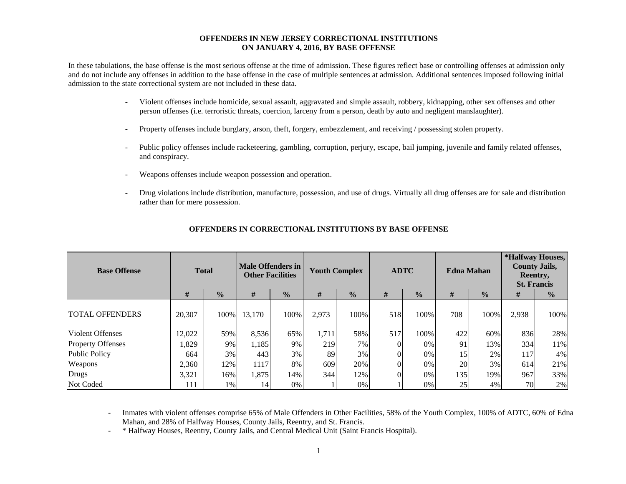#### **OFFENDERS IN NEW JERSEY CORRECTIONAL INSTITUTIONS ON JANUARY 4, 2016, BY BASE OFFENSE**

In these tabulations, the base offense is the most serious offense at the time of admission. These figures reflect base or controlling offenses at admission only and do not include any offenses in addition to the base offense in the case of multiple sentences at admission. Additional sentences imposed following initial admission to the state correctional system are not included in these data.

- - Violent offenses include homicide, sexual assault, aggravated and simple assault, robbery, kidnapping, other sex offenses and other person offenses (i.e. terroristic threats, coercion, larceny from a person, death by auto and negligent manslaughter).
- Property offenses include burglary, arson, theft, forgery, embezzlement, and receiving / possessing stolen property.
- Public policy offenses include racketeering, gambling, corruption, perjury, escape, bail jumping, juvenile and family related offenses, and conspiracy.
- Weapons offenses include weapon possession and operation.
- Drug violations include distribution, manufacture, possession, and use of drugs. Virtually all drug offenses are for sale and distribution rather than for mere possession.

| <b>Base Offense</b>      | <b>Total</b> |               | <b>Male Offenders in</b><br><b>Other Facilities</b> |               | <b>Youth Complex</b> |               |     | <b>ADTC</b>   | <b>Edna Mahan</b> |               | *Halfway Houses,<br><b>County Jails,</b><br>Reentry,<br><b>St. Francis</b> |               |  |
|--------------------------|--------------|---------------|-----------------------------------------------------|---------------|----------------------|---------------|-----|---------------|-------------------|---------------|----------------------------------------------------------------------------|---------------|--|
|                          | #            | $\frac{1}{2}$ | #                                                   | $\frac{0}{0}$ | #                    | $\frac{0}{0}$ | #   | $\frac{0}{0}$ | #                 | $\frac{0}{0}$ | #                                                                          | $\frac{0}{0}$ |  |
| <b>TOTAL OFFENDERS</b>   | 20,307       | 100%          | 13,170                                              | 100%          | 2,973                | 100%          | 518 | 100%          | 708               | 100%          | 2,938                                                                      | 100%          |  |
| Violent Offenses         | 12,022       | 59%           | 8,536                                               | 65%           | 1,711                | 58%           | 517 | 100%          | 422               | 60%           | 836                                                                        | 28%           |  |
| <b>Property Offenses</b> | 1,829        | 9%            | 1,185                                               | 9%            | 219                  | 7%            |     | 0%            | 91                | 13%           | 334                                                                        | 11%           |  |
| <b>Public Policy</b>     | 664          | 3%            | 443                                                 | 3%            | 89                   | 3%            |     | 0%            | 15                | 2%            | 117                                                                        | $4\%$         |  |
| Weapons                  | 2,360        | 12%           | 1117                                                | 8%            | 609                  | 20%           |     | 0%            | 20                | 3%            | 614                                                                        | 21%           |  |
| <b>Drugs</b>             | 3,321        | 16%           | 1,875                                               | 14%           | 344                  | 12%           |     | 0%            | 135               | 19%           | 967                                                                        | 33%           |  |
| Not Coded                | 111          | 1%            | 14                                                  | 0%            |                      | 0%            |     | 0%            | 25                | 4%            | 70                                                                         | 2%            |  |

#### **OFFENDERS IN CORRECTIONAL INSTITUTIONS BY BASE OFFENSE**

 Inmates with violent offenses comprise 65% of Male Offenders in Other Facilities, 58% of the Youth Complex, 100% of ADTC, 60% of Edna Mahan, and 28% of Halfway Houses, County Jails, Reentry, and St. Francis.

-\* Halfway Houses, Reentry, County Jails, and Central Medical Unit (Saint Francis Hospital).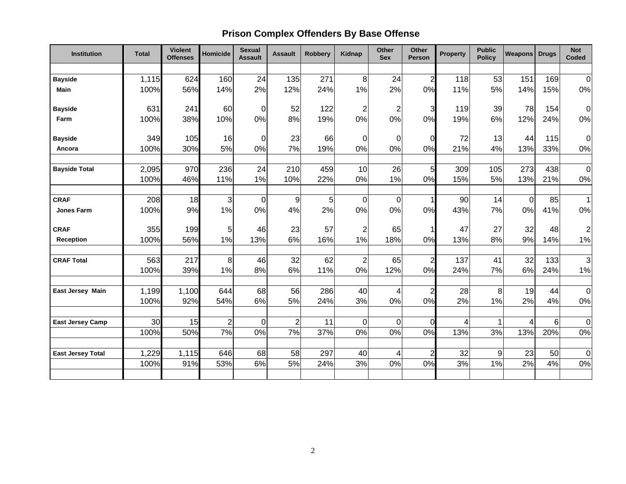# **Prison Complex Offenders By Base Offense**

| <b>Institution</b>       | <b>Total</b> | <b>Violent</b><br><b>Offenses</b> | <b>Homicide</b> | <b>Sexual</b><br><b>Assault</b> | <b>Assault</b> | <b>Robbery</b> | <b>Kidnap</b>  | <b>Other</b><br><b>Sex</b> | <b>Other</b><br>Person | Property       | <b>Public</b><br><b>Policy</b> | <b>Weapons</b> | <b>Drugs</b> | <b>Not</b><br>Coded |
|--------------------------|--------------|-----------------------------------|-----------------|---------------------------------|----------------|----------------|----------------|----------------------------|------------------------|----------------|--------------------------------|----------------|--------------|---------------------|
|                          |              |                                   |                 |                                 |                |                |                |                            |                        |                |                                |                |              |                     |
| <b>Bayside</b>           | 1,115        | 624                               | 160             | 24                              | 135            | 271            | 8              | 24                         | $\overline{2}$         | 118            | 53                             | 151            | 169          | $\overline{0}$      |
| <b>Main</b>              | 100%         | 56%                               | 14%             | 2%                              | 12%            | 24%            | 1%             | 2%                         | 0%                     | 11%            | 5%                             | 14%            | 15%          | 0%                  |
| <b>Bayside</b>           | 631          | 241                               | 60              | $\overline{0}$                  | 52             | 122            | $\overline{c}$ | $\overline{c}$             | 3                      | 119            | 39                             | 78             | 154          | $\overline{0}$      |
| Farm                     | 100%         | 38%                               | 10%             | 0%                              | 8%             | 19%            | 0%             | 0%                         | 0%                     | 19%            | 6%                             | 12%            | 24%          | 0%                  |
| <b>Bayside</b>           | 349          | 105                               | 16              | $\overline{0}$                  | 23             | 66             | $\mathbf 0$    | $\mathbf 0$                | $\Omega$               | 72             | 13                             | 44             | 115          | $\overline{0}$      |
| Ancora                   | 100%         | 30%                               | 5%              | 0%                              | 7%             | 19%            | 0%             | 0%                         | 0%                     | 21%            | 4%                             | 13%            | 33%          | 0%                  |
| <b>Bayside Total</b>     | 2,095        | 970                               | 236             | 24                              | 210            | 459            | 10             | 26                         | 5                      | 309            | 105                            | 273            | 438          | $\overline{0}$      |
|                          | 100%         | 46%                               | 11%             | 1%                              | 10%            | 22%            | 0%             | 1%                         | 0%                     | 15%            | 5%                             | 13%            | 21%          | $0\%$               |
|                          |              |                                   |                 |                                 |                |                |                |                            |                        |                |                                |                |              |                     |
| <b>CRAF</b>              | 208          | 18                                | 3               | $\overline{0}$                  | 9              | 5              | $\Omega$       | $\mathbf 0$                |                        | 90             | 14                             | $\overline{0}$ | 85           | $\vert$ 1           |
| <b>Jones Farm</b>        | 100%         | 9%                                | 1%              | 0%                              | 4%             | 2%             | 0%             | 0%                         | 0%                     | 43%            | 7%                             | 0%             | 41%          | 0%                  |
| <b>CRAF</b>              | 355          | 199                               | 5               | 46                              | 23             | 57             | $\overline{c}$ | 65                         |                        | 47             | 27                             | 32             | 48           | $\mathbf{2}$        |
| Reception                | 100%         | 56%                               | 1%              | 13%                             | 6%             | 16%            | 1%             | 18%                        | 0%                     | 13%            | 8%                             | 9%             | 14%          | 1%                  |
| <b>CRAF Total</b>        | 563          | 217                               | 8               | 46                              | 32             | 62             | $\overline{2}$ | 65                         | $\overline{2}$         | 137            | 41                             | 32             | 133          | $\overline{3}$      |
|                          | 100%         | 39%                               | 1%              | 8%                              | 6%             | 11%            | 0%             | 12%                        | 0%                     | 24%            | 7%                             | 6%             | 24%          | $1\%$               |
| <b>East Jersey Main</b>  | 1,199        | 1,100                             | 644             | 68                              | 56             | 286            | 40             | 4                          | $\overline{2}$         | 28             | 8                              | 19             | 44           | $\overline{0}$      |
|                          | 100%         | 92%                               | 54%             | 6%                              | 5%             | 24%            | 3%             | 0%                         | 0%                     | 2%             | 1%                             | 2%             | 4%           | $0\%$               |
|                          |              |                                   |                 |                                 |                |                |                |                            |                        |                |                                |                |              |                     |
| <b>East Jersey Camp</b>  | 30           | 15                                | $\overline{c}$  | $\overline{0}$                  | $\overline{2}$ | 11             | $\Omega$       | $\mathbf 0$                | $\Omega$               | $\overline{4}$ | 1                              | 4              | 6            | $\overline{0}$      |
|                          | 100%         | 50%                               | 7%              | 0%                              | 7%             | 37%            | 0%             | 0%                         | 0%                     | 13%            | 3%                             | 13%            | 20%          | $0\%$               |
| <b>East Jersey Total</b> | 1,229        | 1,115                             | 646             | 68                              | 58             | 297            | 40             | 4                          | $\overline{2}$         | 32             | 9                              | 23             | 50           | $\overline{0}$      |
|                          | 100%         | 91%                               | 53%             | 6%                              | 5%             | 24%            | 3%             | 0%                         | 0%                     | 3%             | 1%                             | 2%             | 4%           | $0\%$               |
|                          |              |                                   |                 |                                 |                |                |                |                            |                        |                |                                |                |              |                     |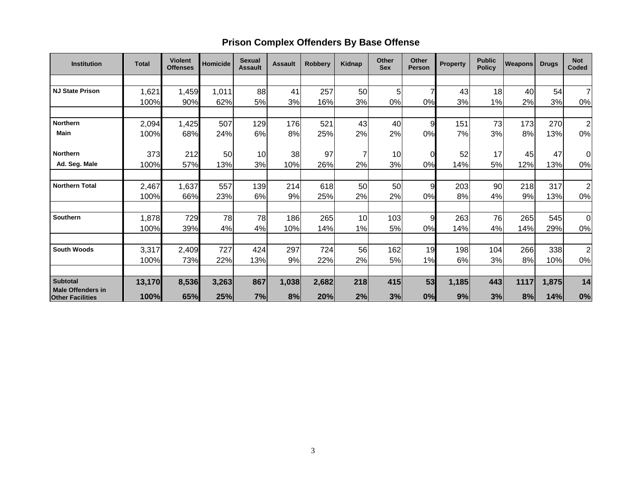## **Prison Complex Offenders By Base Offense**

| <b>Institution</b>                                  | <b>Total</b> | <b>Violent</b><br><b>Offenses</b> | Homicide | <b>Sexual</b><br><b>Assault</b> | <b>Assault</b> | <b>Robbery</b> | Kidnap | <b>Other</b><br><b>Sex</b> | <b>Other</b><br><b>Person</b> | <b>Property</b> | <b>Public</b><br><b>Policy</b> | Weapons | <b>Drugs</b> | <b>Not</b><br>Coded     |
|-----------------------------------------------------|--------------|-----------------------------------|----------|---------------------------------|----------------|----------------|--------|----------------------------|-------------------------------|-----------------|--------------------------------|---------|--------------|-------------------------|
|                                                     |              |                                   |          |                                 |                |                |        |                            |                               |                 |                                |         |              |                         |
| <b>NJ State Prison</b>                              | 1,621        | 1,459                             | 1,011    | 88                              | 41             | 257            | 50     | 5                          | 7                             | 43              | 18                             | 40      | 54           | $\overline{7}$          |
|                                                     | 100%         | 90%                               | 62%      | 5%                              | 3%             | 16%            | 3%     | 0%                         | 0%                            | 3%              | 1%                             | 2%      | 3%           | 0%                      |
|                                                     |              |                                   |          |                                 |                |                |        |                            |                               |                 |                                |         |              |                         |
| <b>Northern</b>                                     | 2,094        | 1,425                             | 507      | 129                             | 176            | 521            | 43     | 40                         | 9                             | 151             | 73                             | 173     | 270          | $\overline{2}$          |
| <b>Main</b>                                         | 100%         | 68%                               | 24%      | 6%                              | 8%             | 25%            | 2%     | 2%                         | 0%                            | 7%              | 3%                             | 8%      | 13%          | 0%                      |
|                                                     |              |                                   |          |                                 |                |                |        |                            |                               |                 |                                |         |              |                         |
| <b>Northern</b>                                     | 373          | 212                               | 50       | 10                              | 38             | 97             |        | 10                         | 0                             | 52              | 17                             | 45      | 47           | 0                       |
| Ad. Seg. Male                                       | 100%         | 57%                               | 13%      | 3%                              | 10%            | 26%            | 2%     | 3%                         | 0%                            | 14%             | 5%                             | 12%     | 13%          | 0%                      |
|                                                     |              |                                   |          |                                 |                |                |        |                            |                               |                 |                                |         |              |                         |
| <b>Northern Total</b>                               | 2,467        | 1,637                             | 557      | 139                             | 214            | 618            | 50     | 50                         | 9                             | 203             | 90                             | 218     | 317          | $\overline{c}$          |
|                                                     | 100%         | 66%                               | 23%      | 6%                              | 9%             | 25%            | 2%     | 2%                         | 0%                            | 8%              | 4%                             | 9%      | 13%          | 0%                      |
|                                                     |              |                                   |          |                                 |                |                |        |                            |                               |                 |                                |         |              |                         |
| <b>Southern</b>                                     | 1,878        | 729                               | 78       | 78                              | 186            | 265            | 10     | 103                        | 9                             | 263             | 76                             | 265     | 545          | $\overline{0}$          |
|                                                     | 100%         | 39%                               | 4%       | 4%                              | 10%            | 14%            | 1%     | 5%                         | 0%                            | 14%             | 4%                             | 14%     | 29%          | 0%                      |
|                                                     |              |                                   |          |                                 |                |                |        |                            |                               |                 |                                |         |              |                         |
| <b>South Woods</b>                                  | 3,317        | 2,409                             | 727      | 424                             | 297            | 724            | 56     | 162                        | 19                            | 198             | 104                            | 266     | 338          | $\overline{\mathbf{c}}$ |
|                                                     | 100%         | 73%                               | 22%      | 13%                             | 9%             | 22%            | 2%     | 5%                         | 1%                            | 6%              | 3%                             | 8%      | 10%          | 0%                      |
|                                                     |              |                                   |          |                                 |                |                |        |                            |                               |                 |                                |         |              |                         |
| <b>Subtotal</b>                                     | 13,170       | 8,536                             | 3,263    | 867                             | 1,038          | 2,682          | 218    | 415                        | 53                            | 1,185           | 443                            | 1117    | 1,875        | 14                      |
| <b>Male Offenders in</b><br><b>Other Facilities</b> | 100%         | 65%                               | 25%      | 7%                              | 8%             | 20%            | 2%     | 3%                         | 0%                            | 9%              | 3%                             | 8%      | 14%          | 0%                      |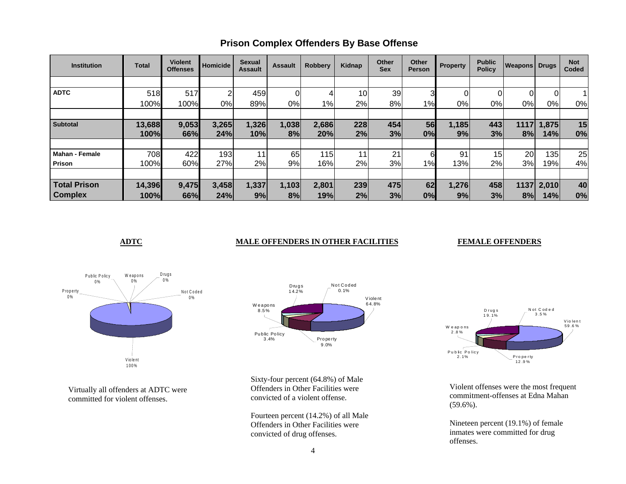| <b>Institution</b>    | <b>Total</b> | <b>Violent</b><br><b>Offenses</b> | <b>Homicide</b> | Sexual<br><b>Assault</b> | <b>Assault</b> | <b>Robbery</b> | Kidnap | <b>Other</b><br><b>Sex</b> | Other<br><b>Person</b> | <b>Property</b> | <b>Public</b><br><b>Policy</b> | <b>Weapons Drugs</b> |                | <b>Not</b><br>Coded |
|-----------------------|--------------|-----------------------------------|-----------------|--------------------------|----------------|----------------|--------|----------------------------|------------------------|-----------------|--------------------------------|----------------------|----------------|---------------------|
|                       |              |                                   |                 |                          |                |                |        |                            |                        |                 |                                |                      |                |                     |
| <b>ADTC</b>           | 518          | 517                               | 2               | 459                      |                | 4              | 10     | 39                         | 3                      | 01              |                                | 0                    | $\overline{0}$ |                     |
|                       | 100%         | 100%                              | 0%              | 89%                      | 0%             | 1%             | 2%     | 8%                         | 1%                     | 0%l             | 0%                             | 0%                   | 0%             | 0%                  |
|                       |              |                                   |                 |                          |                |                |        |                            |                        |                 |                                |                      |                |                     |
| <b>Subtotal</b>       | 13,688       | 9,053                             | 3,265           | 1,326                    | 1,038          | 2,686          | 228    | 454                        | 56                     | 1,185           | 443                            | 1117                 | 1,875          | 15                  |
|                       | 100%         | 66%                               | 24%             | 10%                      | 8%             | 20%            | 2%     | 3%                         | 0%                     | 9%              | 3%                             | 8%                   | 14%            | 0%                  |
|                       |              |                                   |                 |                          |                |                |        |                            |                        |                 |                                |                      |                |                     |
| <b>Mahan - Female</b> | 708          | 422                               | 193             | 11                       | 65             | 115            | 11     | 21                         | 6                      | 91              | 15 <sub>l</sub>                | 20                   | 135            | 25                  |
| Prison                | 100%         | 60%                               | 27%             | 2%                       | 9%             | 16%            | 2%     | 3%                         | 1%                     | 13%             | 2%                             | 3%                   | 19%            | 4%                  |
|                       |              |                                   |                 |                          |                |                |        |                            |                        |                 |                                |                      |                |                     |
| <b>Total Prison</b>   | 14,396       | 9,475                             | 3,458           | 1,337                    | 1,103          | 2,801          | 239    | 475                        | 62                     | 1,276           | 458                            |                      | 1137 2,010     | 40                  |
| <b>Complex</b>        | 100%         | 66%                               | 24%             | 9%                       | 8%             | 19%            | 2%     | 3%                         | 0%                     | 9%              | 3%                             | 8%                   | 14%            | 0%                  |

## **Prison Complex Offenders By Base Offense**

### **ADTC** MALE OFFENDERS IN OTHER FACILITIES

#### **FEMALE OFFENDERS**



Virtually all offenders at ADTC were committed for violent offenses.



Sixty-four percent (64.8%) of Male Offenders in Other Facilities were convicted of a violent offense.

Fourteen percent (14.2%) of all Male Offenders in Other Facilities were convicted of drug offenses.



Violent offenses were the most frequent commitment-offenses at Edna Mahan (59.6%).

Nineteen percent (19.1%) of female inmates were committed for drug offenses.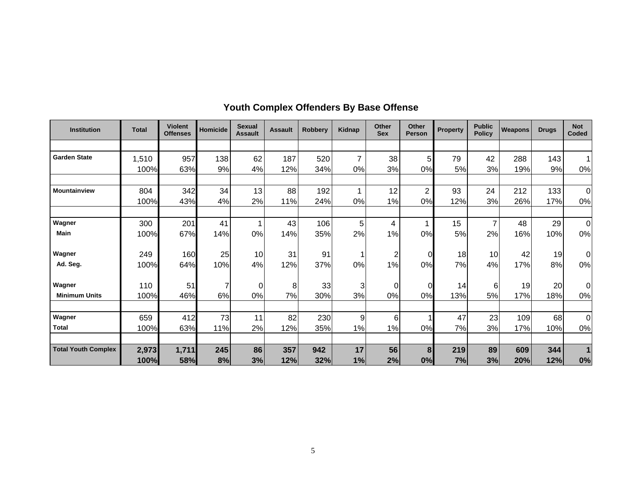| <b>Institution</b>         | <b>Total</b> | <b>Violent</b><br><b>Offenses</b> | Homicide | <b>Sexual</b><br><b>Assault</b> | <b>Assault</b> | <b>Robberv</b> | <b>Kidnap</b> | Other<br><b>Sex</b>     | Other<br><b>Person</b> | <b>Property</b> | <b>Public</b><br><b>Policy</b> | <b>Weapons</b> | <b>Drugs</b> | <b>Not</b><br>Coded |
|----------------------------|--------------|-----------------------------------|----------|---------------------------------|----------------|----------------|---------------|-------------------------|------------------------|-----------------|--------------------------------|----------------|--------------|---------------------|
|                            |              |                                   |          |                                 |                |                |               |                         |                        |                 |                                |                |              |                     |
| <b>Garden State</b>        | 1,510        | 957                               | 138      | 62                              | 187            | 520            | 7             | 38                      | 5                      | 79              | 42                             | 288            | 143          |                     |
|                            | 100%         | 63%                               | 9%       | 4%                              | 12%            | 34%            | 0%            | 3%                      | 0%                     | 5%              | 3%                             | 19%            | 9%           | 0%                  |
| <b>Mountainview</b>        | 804          | 342                               | 34       | 13                              | 88             | 192            | 1             | 12                      | $\overline{2}$         | 93              | 24                             | 212            | 133          | $\Omega$            |
|                            | 100%         | 43%                               | 4%       | 2%                              | 11%            | 24%            | 0%            | 1%                      | 0%                     | 12%             | 3%                             | 26%            | 17%          | 0%                  |
|                            |              |                                   |          |                                 |                |                |               |                         |                        |                 |                                |                |              |                     |
| Wagner                     | 300          | 201                               | 41       | 1                               | 43             | 106            | 5             | $\overline{\mathbf{4}}$ |                        | 15              | 7                              | 48             | 29           | $\Omega$            |
| <b>Main</b>                | 100%         | 67%                               | 14%      | 0%                              | 14%            | 35%            | 2%            | 1%                      | 0%                     | 5%              | 2%                             | 16%            | 10%          | 0%                  |
| Wagner                     | 249          | 160                               | 25       | 10                              | 31             | 91             | 1             | $\overline{c}$          | $\overline{O}$         | 18              | 10 <sup>1</sup>                | 42             | 19           | 0                   |
| Ad. Seq.                   | 100%         | 64%                               | 10%      | 4%                              | 12%            | 37%            | 0%            | 1%                      | 0%                     | 7%              | 4%                             | 17%            | 8%           | 0%                  |
| Wagner                     | 110          | 51                                | 7        | $\Omega$                        | 8              | 33             | 3             | $\Omega$                | $\overline{0}$         | 14              | 6                              | 19             | 20           | $\Omega$            |
| <b>Minimum Units</b>       | 100%         | 46%                               | 6%       | 0%                              | 7%             | 30%            | 3%            | 0%                      | 0%                     | 13%             | 5%                             | 17%            | 18%          | 0%                  |
| Wagner                     | 659          | 412                               | 73       | 11                              | 82             | 230            | 9             | 6                       |                        | 47              | 23                             | 109            | 68           | $\Omega$            |
| <b>Total</b>               | 100%         | 63%                               | 11%      | 2%                              | 12%            | 35%            | 1%            | 1%                      | 0%                     | 7%              | 3%                             | 17%            | 10%          | 0%                  |
|                            |              |                                   |          |                                 |                |                |               |                         |                        |                 |                                |                |              |                     |
| <b>Total Youth Complex</b> | 2,973        | 1,711                             | 245      | 86                              | 357            | 942            | 17            | 56                      | 8                      | 219             | 89                             | 609            | 344          |                     |
|                            | 100%         | 58%                               | 8%       | 3%                              | 12%            | 32%            | 1%            | 2%                      | 0%                     | 7%              | 3%                             | 20%            | 12%          | 0%                  |

## **Youth Complex Offenders By Base Offense**